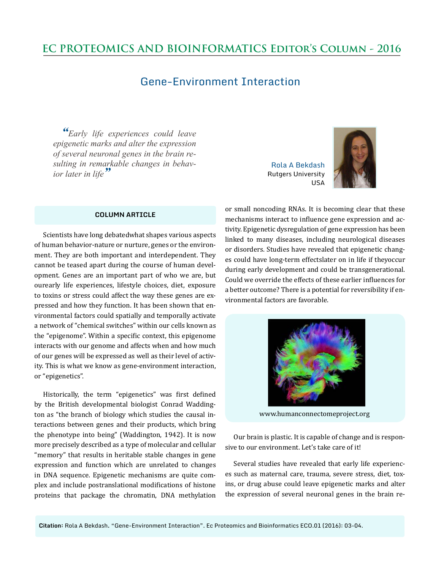## **EC PROTEOMICS AND BIOINFORMATICS Editor's Column - 2016**

## Gene-Environment Interaction

*"Early life experiences could leave epigenetic marks and alter the expression of several neuronal genes in the brain resulting in remarkable changes in behavior later in life"*

## **COLUMN ARTICLE**

Scientists have long debatedwhat shapes various aspects of human behavior-nature or nurture, genes or the environment. They are both important and interdependent. They cannot be teased apart during the course of human development. Genes are an important part of who we are, but ourearly life experiences, lifestyle choices, diet, exposure to toxins or stress could affect the way these genes are expressed and how they function. It has been shown that environmental factors could spatially and temporally activate a network of "chemical switches" within our cells known as the "epigenome". Within a specific context, this epigenome interacts with our genome and affects when and how much of our genes will be expressed as well as their level of activity. This is what we know as gene-environment interaction, or "epigenetics".

Historically, the term "epigenetics" was first defined by the British developmental biologist Conrad Waddington as "the branch of biology which studies the causal interactions between genes and their products, which bring the phenotype into being" (Waddington, 1942). It is now more precisely described as a type of molecular and cellular "memory" that results in heritable stable changes in gene expression and function which are unrelated to changes in DNA sequence. Epigenetic mechanisms are quite complex and include postranslational modifications of histone proteins that package the chromatin, DNA methylation

Rola A Bekdash Rutgers University USA



or small noncoding RNAs. It is becoming clear that these mechanisms interact to influence gene expression and activity. Epigenetic dysregulation of gene expression has been linked to many diseases, including neurological diseases or disorders. Studies have revealed that epigenetic changes could have long-term effectslater on in life if theyoccur during early development and could be transgenerational. Could we override the effects of these earlier influences for a better outcome? There is a potential for reversibility if environmental factors are favorable.



www.humanconnectomeproject.org

Our brain is plastic. It is capable of change and is responsive to our environment. Let's take care of it!

Several studies have revealed that early life experiences such as maternal care, trauma, severe stress, diet, toxins, or drug abuse could leave epigenetic marks and alter the expression of several neuronal genes in the brain re